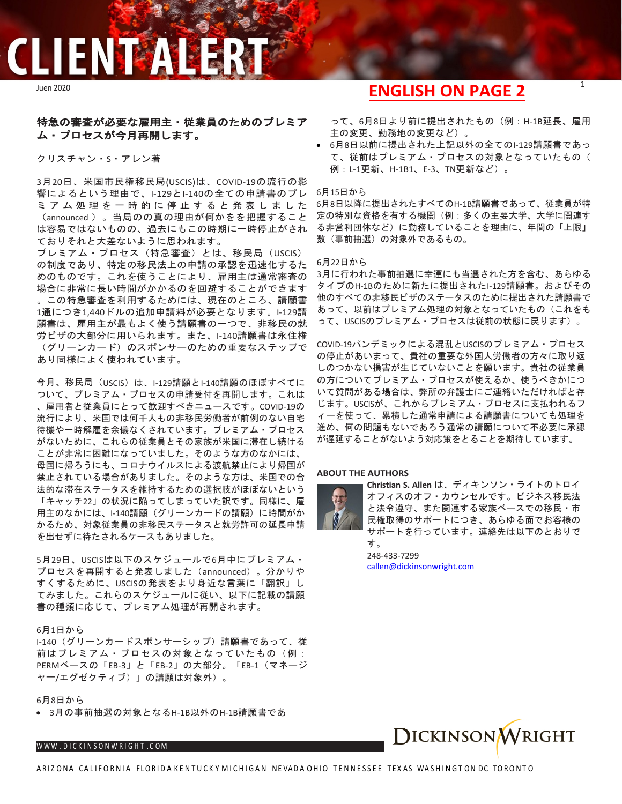## **CLIENT ALERT**

### 特急の審査が必要な雇用主・従業員のためのプレミア ム・プロセスが今月再開します。

クリスチャン・S・アレン著

3月20日、米国市民権移民局(USCIS)は、COVID-19の流行の影 響によるという理由で、I-129とI-140の全ての申請書のプレ ミアム処理を一時的に停止すると発表 しました ([announced](https://www.uscis.gov/working-united-states/temporary-workers/uscis-announces-temporary-suspension-premium-processing-all-i-129-and-i-140-petitions-due-coronavirus-pandemic) )。当局のの真の理由が何かをを把握すること は容易ではないものの、過去にもこの時期に一時停止がされ ておりそれと大差ないように思われます。

プレミアム・プロセス(特急審査)とは、移民局(USCIS) の制度であり、特定の移民法上の申請の承認を迅速化するた めのものです。これを使うことにより、雇用主は通常審査の 場合に非常に長い時間がかかるのを回避することができます 。この特急審査を利用するためには、現在のところ、請願書 1通につき1,440ドルの追加申請料が必要となります。I-129請 願書は、雇用主が最もよく使う請願書の一つで、非移民の就 労ビザの大部分に用いられます。また、I-140請願書は永住権 (グリーンカード)のスポンサーのための重要なステップで あり同様によく使われています。

今月、移民局(USCIS)は、I-129請願とI-140請願のほぼすべてに ついて、プレミアム・プロセスの申請受付を再開します。これは 、雇用者と従業員にとって歓迎すべきニュースです。COVID-19の 流行により、米国では何千人もの非移民労働者が前例のない自宅 待機や一時解雇を余儀なくされています。プレミアム・プロセス がないために、これらの従業員とその家族が米国に滞在し続ける ことが非常に困難になっていました。そのような方のなかには、 母国に帰ろうにも、コロナウイルスによる渡航禁止により帰国が 禁止されている場合がありました。そのような方は、米国での合 法的な滞在ステータスを維持するための選択肢がほぼないという 「キャッチ22」の状況に陥ってしまっていた訳です。同様に、雇 用主のなかには、I-140請願(グリーンカードの請願)に時間がか かるため、対象従業員の非移民ステータスと就労許可の延長申請 を出せずに待たされるケースもありました。

5月29日、USCISは以下のスケジュールで6月中にプレミアム・ プロセスを再開すると発表しました ([announced](https://www.uscis.gov/news/alerts/uscis-resumes-premium-processing-certain-petitions))。分かりや すくするために、USCISの発表をより身近な言葉に「翻訳」し てみました。これらのスケジュールに従い、以下に記載の請願 書の種類に応じて、プレミアム処理が再開されます。

#### 6月1日から

I-140 (グリーンカードスポンサーシップ)請願書であって、従 前はプレミアム・プロセスの対象となっていたもの(例: PERMベースの「EB-3」と「EB-2」の大部分。「EB-1(マネージ ャー/エグゼクティブ)」の請願は対象外)。

#### 6月8日から

• 3月の事前抽選の対象となるH-1B以外のH-1B請願書であ

#### WWW[.DICKINSONWRIGHT](http://www.dickinsonwright.com/).COM

### Juen 2020 <sup>1</sup> **ENGLISH ON PAGE 2**

って、6月8日より前に提出されたもの(例:H-1B延長、雇用 主の変更、勤務地の変更など)。

● 6月8日以前に提出された上記以外の全てのI-129請願書であっ て、従前はプレミアム・プロセスの対象となっていたもの( 例:L-1更新、H-1B1、E-3、TN更新など)。

#### 6月15日から

6月8日以降に提出されたすべてのH-1B請願書であって、従業員が特 定の特別な資格を有する機関(例:多くの主要大学、大学に関連す る非営利団体など)に勤務していることを理由に、年間の「上限」 数(事前抽選)の対象外であるもの。

#### 6月22日から

3月に行われた事前抽選に幸運にも当選された方を含む、あらゆる タイプのH-1Bのために新たに提出されたI-129請願書。およびその 他のすべての非移民ビザのステータスのために提出された請願書で あって、以前はプレミアム処理の対象となっていたもの(これをも って、USCISのプレミアム・プロセスは従前の状態に戻ります)。

COVID-19パンデミックによる混乱とUSCISのプレミアム・プロセス の停止があいまって、貴社の重要な外国人労働者の方々に取り返 しのつかない損害が生じていないことを願います。貴社の従業員 の方についてプレミアム・プロセスが使えるか、使うべきかにつ いて質問がある場合は、弊所の弁護士にご連絡いただければと存 じます。USCISが、これからプレミアム・プロセスに支払われるフ ィーを使って、累積した通常申請による請願書についても処理を 進め、何の問題もないであろう通常の請願について不必要に承認 が遅延することがないよう対応策をとることを期待しています。

#### **ABOUT THE AUTHORS**



**Christian S. Allen** は、ディキンソン・ライトのトロイ オフィスのオフ・カウンセルです。ビジネス移民法 と法令遵守、また関連する家族ベースでの移民・市 民権取得のサポートにつき、あらゆる面でお客様の サポートを行っています。連絡先は以下のとおりで

す。 248-433-7299 [callen@dickinsonwright.com](mailto:callen@dickinsonwright.com)